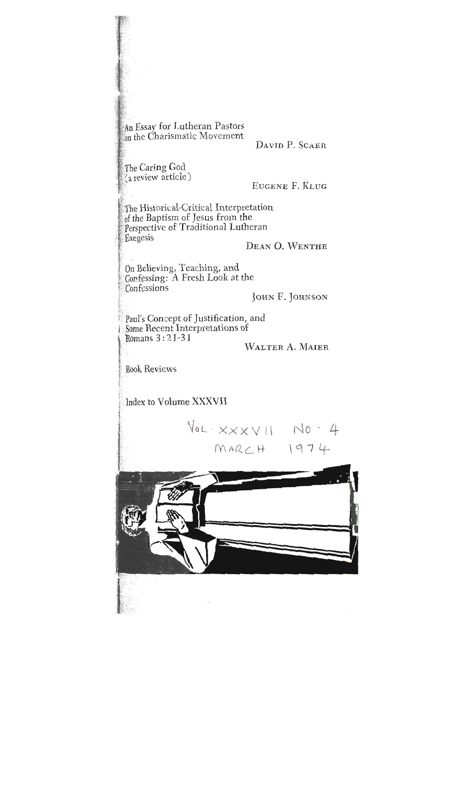An Essay for Lutheran Pastors on the Charismatic Movement

DAVID P. SCAER

The Caring God (a review article)

EUGENE F. KLUG

The Historical-Critical Interpretation of the Baptism of Jesus from the Perspective of Traditional Lutheran Exegesis

DEAN O. WENTHE

On Believing, Teaching, and Confessing: A Fresh Look at the Confessions

JOHN F. JOHNSON

Paul's Concept of Justification, and Some Recent Interpretations of Romans  $3:21-31$ 

WALTER A. MAIER

**Book Reviews** 

Index to Volume XXXVII

 $\sqrt{6L}$   $XXXV||$   $N0$   $4$  $MACCH$   $1974$ 

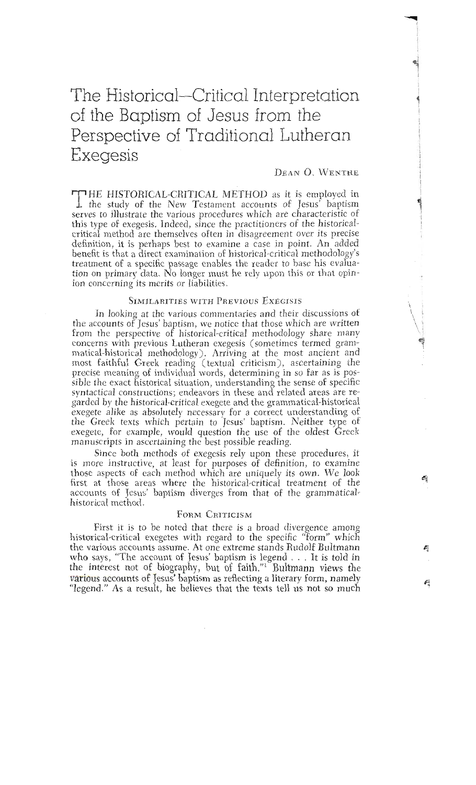# The Historical-Critical Interpretation of the Baptism of Jesus from the Perspective of Traditional Lutheran Exegesis

#### DEAN O. WENTHE

THE HISTORICAL-CRITICAL METHOD as it is employed in the study of the New Testament accounts of Jesus' baptism serves to illustrate the various procedures which are characteristic of this type of exegesis. Indeed, since the practitioners of the historicalcritical method are themselves often in disagreement over its precise definition, it is perhaps best to examine a case in point. An added benefit is that a direct examination of historical-critical methodology's treatment of a specific passage enables the reader to base his evaluation on primary data. No longer must he rely upon this or that opintion concerning its merits or liabilities. ion concerning its mcrits or liabilities.

In looking at the various commentaries and their discussions of the accounts of Jesus' baptism, we notice that those which are written from the perspective of historical-critical methodology share many concerns with previous Lutheran exegesis (sometimes termed grammatical-historical methodology). Arriving at the most ancient and most faithful Greek reading (textual criticism), ascertaining the precise meaning of individual words, determining in so far as is possible the exact historical situation, understanding the sense of specific syntactical constructions; endeavors in these and related areas are regarded by the historical-critical exegete and the grammatical-historical exegete alike as absolutely necessary for a correct understanding of the Greek texts which pertain to Jesus' baptism. Neither type of exegete, for example, would question the use of the oldest Greek manuscripts in ascertaining the best possible reading.

Since both methods of exegesis rely upon these procedures, it is more instructive, at least for purposes of definition, to examine those aspects of each method which are uniquely its own. We look first at those areas where the historical-critical treatment of the accounts of Jesus' baptism diverges from that of the grammaticalhistorical method.

### FORM CRITICISM

First it is to be noted that there is a broad divergence among historical-critical exegetes with regard to the specific "form" which the various accounts assume. At one extreme stands Rudolf Bultmann who says, "The account of Jesus' baptism is legend . . . It is told in the interest not of biography, but of faith."<sup>1</sup> Bultmann views the various accounts of Jesus' baptism as reflecting a literary form, namely "legend." As a result, he believes that the texts tell us not so much  $\mathbf{e}$  as a result, he believes that the texts tell us not so much so much so much so much so much so much so much so much so much so much so much so much so much so much so much so much so much so much so much so much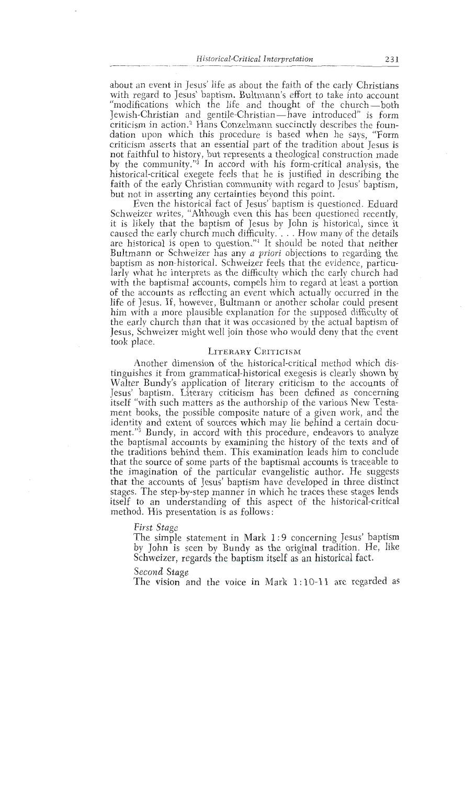*listorical-Critical Interpretation* 231<br>about an event in Jesus' life as about the faith of the early Christians about an event in Jesus' life as about the faith of the early Christians with regard to Jesus' baptism. Bultmann's effort to take into account with regard to Jesus' baptism. Bultmann's effort to take into account<br>"modifications" which the life and thought of the church—both<br>Jewish-Christian and gentile-Christian—have introduced" is form<br>criticism in action.<sup>2</sup> Ha Tewish-Christian and gentile-Christian—have introduced" is form criticism in action. Trans Conzelnann succinctly describes the foundation upon which this procedure is based when he says, "Form criticism asserts that an essential part of the tradition about Jesus is<br>not faithful to history, but represents a theological construction made by the community."<sup>3</sup> In accord with his form-critical analysis, the historical-critical exegete feels that he is justified in describing the historical-critical exegete feels that he is justified in describing thc faith of the early Christian community with regard to Jesus' baptism, but not in asserting any certainties beyond this point.<br>Even the historical fact of Jesus' baptism is questioned. Eduard

Schweizer writes, "Although even this has been questioned recently, Schweizcr writes, "Although even this has been questioned recently, it is likely that the baptism of Jesus by John is historical, since it caused the early church much difficulty.... How many of the details are historical is open to question."<sup>4</sup> It should be noted that neither Bultmann or Schweizer has any *a priori* objections to regarding the baptism as non-historical. Schweizer feels that the evidence, particularly what he interprets as the difficulty which the early church had larly what he interprets as the difficulty which the early church had with the baptismal accounts, compets find to regard at least a portion of the accounts as reflecting an event which actually occurred in the life of Jesus. If, however, Bultmann or another scholar could present life of Jesus. If, however, Bultmann or another scholar could present him with a more plausible explanation for thc supposed difficulty of the early church than that it was occasioned by the actual baptism of Jesus, Schweizer might well join those who would deny that the event took place.

## **LITERARY** CRITICISM

Another dimension of the historical-critical method which distinguishes it from grammatical-historical exegesis is clearly shown by Jesus' baptism. Literary criticism has been defined as concerning itself "with such matters as the authorship of the various New Testaitself with such matters as the authorship of the various New Testament books, the possible composite nature of a given work, and the identity and extent of sources which may lie behind a certain document. Dundy, in accord with this procedure, endeavors to analyze the baptismal accounts by examining the history of the texts and of the traditions behind them. This examination leads him to conclude that the source of some parts of the baptismal accounts is traceable to that the source of some parts of the baptismal accounts is traceable to the imagination of the particular evangelistic author. He suggests that the accounts of Jesus' baptism have developed in three distinct stages. The step-by-step manner in which he traces these stages lends<br>itself to an undorstanding of this concet of the historical oritical itself to an understanding of this aspect of the historical-critical method. His presentation is as follows:

*First Stage*<br>The simple statement in Mark 1:9 concerning Jesus' baptism The simple statement in Mark 1 :9 concerning Jesus' baptism by John is seen by Bundy as the original tradition. He, like Schweizer, regards the baptism itself as an historical fact.<br>Second Stage

secona stage<br>The vicion ex The vision and the voice in Mark 1 : 10-1 1 are regarded as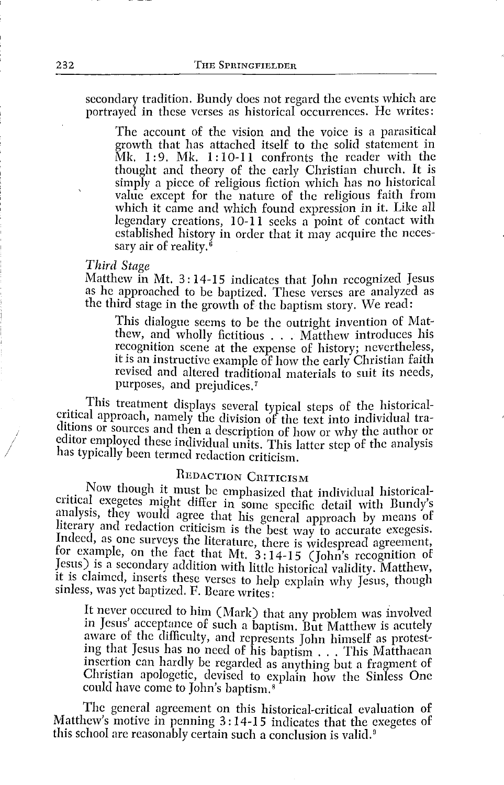secondary tradition. Bundy does not regard the events which are portrayed in these verses as historical occurrences. He writes:

The account of the vision and the voice is a parasitical growth that has attached itself to the solid statement in Mk. 1: 9. Mk. 1: 10-11 confronts the reader with the thought and theory of the early Christian church. It is simply a piece of religious fiction which has no historical value except for the nature of the religious faith from which it came and which found expression in it. Like all legendary creations, 10-11 seeks a point of contact with established history in order that it may acquire the necessary air of reality. *6* 

#### *Third Stage*

Matthew in Mt. 3: 14-15 indicates that John recognized Jesus as he approached to be baptized. These verses are analyzed as the third stage in the growth of the baptism story. We read:

This dialogue seems to be the outright invention of Mat-<br>thew, and wholly fictitious  $\ldots$ . Matthew introduces his<br>recognition scene of the set of the seconditions thew, and wholly fictitious . . . Matthew introduces his recognition scene at the expense of history; nevertheless, it is an instructive example of how the early Christian faith revised and altered traditional materials to suit its needs, purposes, and prejudices. <sup>7</sup>

This treatment displays several typical steps of the historicalcritical approach, namely the division of the text into individual traditions or sources and then a description of how or why the author or editor employed these individual units. This latter step of the analysis has typically been termed redaction criticism.

### REDACTION CRITICISM

Now though it must be emphasized that individual historicalcritical exegetes might differ in some specific detail with Bundy's analysis, they would agree that his general approach by means of literary and redaction criticism is the best way to accurate exegesis. Indeed, as one surveys the literature, there is widespread agreement, for example, on the fact that Mt.  $3:14-15$  (John's recognition of Jesus) is a secondary addition with little historical validity. Matthew, it is claimed, inserts these verses to help explain why Jesus, though sinless, was yet baptized. F. Beare writes:

It never occured to him (Mark) that any problem was involved in Jesus' acceptance of such a baptism. But Matthew is acutely aware of the difficulty, and represents John himself as protesting that Jesus has no need of his baptism ... This Matthaean insertion can hardly be regarded as anything but a fragment of Christian apologetic, devised to explain how the Sinless One could have come to John's baptism. <sup>8</sup>

The general agreement on this historical-critical evaluation of Matthew's motive in penning 3: 14-15 indicates that the exegetes of this school are reasonably certain such a conclusion is valid.<sup>9</sup>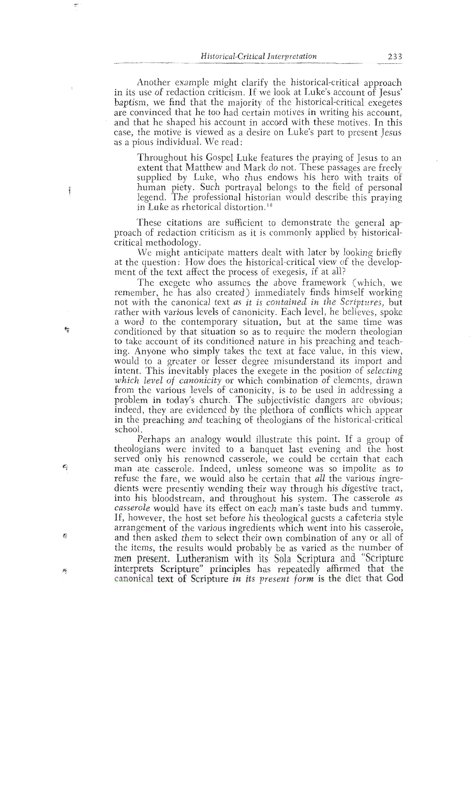Another example might clarify the historical-critical approach in its use of redaction criticism. If we look at Luke's account of Jesus' baptism, we find that the majority of the historical-critical exegetes are convinced that he too had certain motives in writing his account, are convinced that he too had certain motives in writing his account, and that he shaped his account in accord with these motives. In this and can be account of the motives in writing  $\frac{1}{2}$ case, the motive is viewed as a desire on Luke's part to present Jesus as a pious individual. We read:

Throughout his Gospel Luke features the praying of Jesus to an extent that Matthew and Mark do not. These passages are freely supplied by Luke, who thus endows his hero with traits of human piety. Such portrayal belongs to the field of personal numan plety, such portrayal belongs to the held of personal regenu. The professional historian would describe this praying in Luke as rhetorical distortion.<sup>10</sup>

These citations are sufficient to demonstrate the general approach of redaction criticism as it is commonly applied by historical-<br>critical methodology.

We might anticipate matters dealt with later by looking briefly we might antic  $\alpha$  destion: Frow does the instorted critical view of the develop-<br>of the toxic officet the process of executive if at all

ment of the text affect the process of exegesis, if at all?<br>The exegete who assumes the above framework (which, we remember, he has also created) immediately finds himself working The executive created as a summediately index influent working not with the canonical text as u is contained in the scriptures, but rather with various levels of canonicity. Each level, he believes, spoke a word to the contemporary situation, but at the same time was conditioned by that situation so as to require the modern theologian conditioned by that situation so as to require the modern theologian to take account or its conditioned nature in his preaching and teach-<br>ing. Anyone who eigenly takes the taxt of foco velve, in this view. ing. Anyone who simply takes the text at face value, in this view,<br>would to a greater or lesser degree misunderstand its import and intent. This inevitably places the exegete in the position of selecting which level of canonicity or which combination of elements, drawn which level of canonicity of which compilation of ciencitis, drawn *which* the various levels of canonicity, is to be used in addressing a problem in today's church. The subjectivistic dangers are obvious; indeed, they are evidenced by the plethora of conflicts which appear in the preaching and teaching of theologians of the historical-critical school.

Perhaps an analogy would illustrate this point. If a group of a<br>inolood perans were invited to a panquer last evening and the host<br>I only his renovined ecceentle we could be certain that each theologians were invited to a banquet compare the to a banquet last even in the fact the second last the host of the host to host the host to a banquet the host to host to host to host the host to host the host to host the  $\frac{1}{3}$  and  $\frac{1}{3}$  casserole. Thus requires someone was so imponed as to refuse the rate, we would also be certain that *all* the various ingreexercis were presently wending their way through his digestive tract, die this bloodstream, and infoughout his system. The casseroid as casserole would have its effect on each man's taste buds and tuniny.<br>If however, the heet est before his theological exects a sefetoric style If, however, the host set before his theological guests a cafeteria style arrangement of the various ingredients which went into his casserole, and then asked them to select their own combination of any or all of the items, the results would probably be as varied as the number of men present. Lutheranism with its Sola Scriptura and "Scripture interprets Scripture" principles has repeatedly affirmed that the canonical text of Scripture in its present form is the diet that God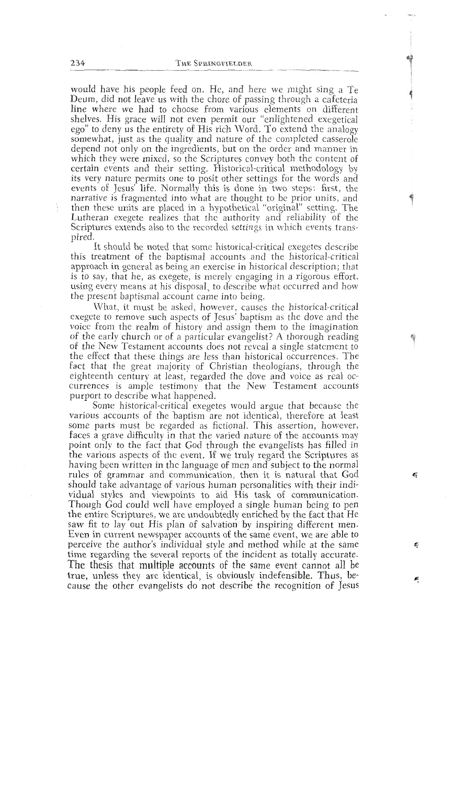would have his people feed on. He, and here we might sing a Te Deum, did not leave us with the chore of passing through a cafeteria line where we had to choose from various elements on different shelves. His grace will not even permit our "enlightened exegetical shelves. His grace will not even permit our "emightened exegetical" ego" to deny us the entirety of His rich Word. To extend the analogy extend that it is the conclusion of the completed concerned somewhat, just as the quality and nature of the completed casserole depend not only on the ingredients, but on the order and manner in which they were mixed, so the Scriptures convey both the content of certain events and their setting. Historical-critical methodology by its very nature permits one to posit other settings for the words and its very nature permits one to posit other settings for the words and events of Jesus' life. Normally this is done in two steps: first, the narrative is fragmented into what are thought to be prior units, and then these units are placed in a hypothetical "original" setting. The Lutheran exegete realizes that the authority and reliability of the Scriptures extends also to the recorded *settings* in ~vhich events transpired,

It should be noted that some historical-critical exegetes describe<br>this treatment of the baptismal accounts and the historical-critical this treatment of the baptismal accounts and the historical-critical approach in general as being an exercjse in historical description; that is to say, that he, as exegete, is merely engaging in a rigorous effort, using every means at his disposal, to describe what occurred and how the present baptismal account came into being.<br>What, it must be asked, however, causes the historical-critical

What, it must be asked, however, causcs thc historical-critical exegete to remove such aspects or jesus' baptism as the dove and the voice from the realm of history and assign them to the imagination of the early church or of a particular evangelist? A thorough reading of the New Testament accounts does not reveal a single statement to of the New Testament accounts does not reveal a single statement to the effect that these things are less than historical occurrences. The fact that the great majority of Christian theologians, through the eighteenth century at least, regarded the dove and voice as real occurrences is ample testimony that the New Testament accounts purport to describe what happened.

Some historical-critical exegetes would argue that because the various accounts of the baptism are not identical, therefore at least some parts must be regarded as fictional. This assertion, however, faces a grave difficulty in that the varied nature of the accounts may point only to the fact that God through the evangelists has filled in the various aspects of the event. If we truly regard the Scriptures as having been written in thc language of men and subject to the normal rules of grammar and communication, then it is natural that God should take advantage of various human personalities with their individual styles and viewpoints to aid His task of communication.<br>Though God could well have employed a single human being to pen the entire Scriptures, we are undoubtedly enriched by the fact that He the entire scriptures, we are undoubtedly enriched by the fact that He saw in to lay out His plan of salvation by inspiring different men. Even in current newspaper accounts of the same event, we are able to perceive the author's individual style and method while at the same time regarding the several reports of the incident as totally accurate. The thesis that multiple accounts of the same event cannot all be true, unless they are identical, is obviously indefensible. Thus, betrue, unless they arc identical, is obviously indefensible. Thus, because the other evangelists do not describe the recognition of Jesus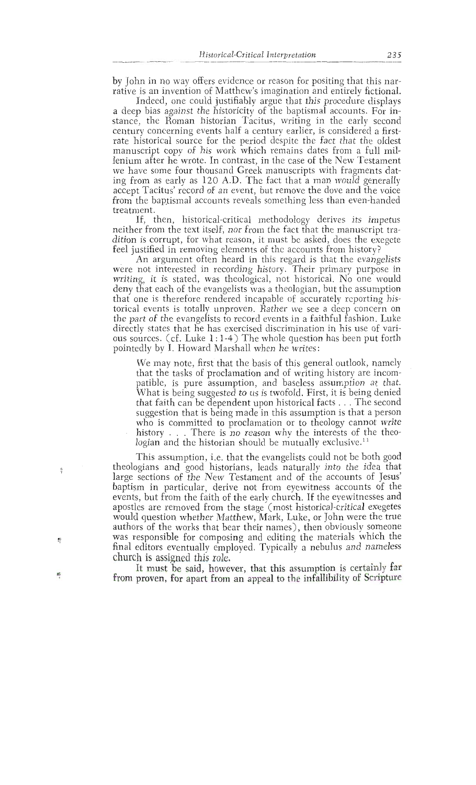by John in no way offers evidence or reason for positing that this narrative is an invention of Matthew's imagination and entirely fictional.<br>Indeed, one could justifiably argue that this procedure displays

rative is an invection in the country investigation in the matter of the happing and entirely find in p bias against the instortchy of the baptismal accounts. For instance, the Roman historian Tacitus, writing in the early second century concerning events half a century earlier, is considered a firstrate historical source for the period despite the fact that the oldest manuscript copy of his work which remains dates from a full milmanuscript copy of his work which remains dates from a full mile-<br>logisme after he worte. In contract, in the occo of the New Tectoment remum after he wrote. In contrast, in the case of the tyew restament we have some four thousand Greek manuscripts with fragments dating from as early as 120 A.D. The fact that a man would generally accept Tacitus' record of an event, but remove the dove and the voice from the baptismal accounts reveals something less than even-handed treatment.

If, then, historical-critical methodology derives its impetus treat<br>therefree If from the text itself, hor from the fact that the manuscript tra-<br>Lie commute for what roocon, it must be celed, does the excepts ned the text in the text is the text in the text in the text is the execute<br>that the fact the manuscript allowants of the accounts from history.

deel justified in removing elements of the accounts from mstory: for argument often neary in this regard is that the evange not interested in tecording mstory. Their primary purpose in writing, it is stated, was theological, not historical. No one would<br>deny that each of the evangelists was a theologian, but the assumption geny mat each of the evangensis was a meologian, out the assumption deny that one is therefore rendered incapable of accurately reporting instorical events is totally unproven. Rather we see a deep concern on the part of the evangelists to record events in a faithful fashion. Luke directly states that he has exercised discrimination in his use of varithe curves that he has exercised discrimination in his use of vari-<br>one convessed of Tarke 1.1.4.) The whole question her been nut forth ous sources. (cr. Luke 1:1-4) The whole question has been put form pointedly by I. Howard Marshall when he writes:

We may note, first that the basis of this general outlook, namely that the tasks of proclamation and of writing history are incompatible, is pure assumption, and baseless assumption at that. What is being suggested to us is twofold. First, it is being denied parties being suggested to us is twofold. This, it is being defined<br>that faith gap he dependent upon biotoxical factor. The second what raith can be dependent upon instorted racts... The second suggestion that is being made in this assumption is that a person who is committed to proclamation or to theology cannot write<br>history . . . There is no reason why the interests of the theo- $\frac{1}{2}$  is compared to the committed to  $\frac{1}{2}$  to the total theory cannot write write write write write write write  $\frac{1}{2}$ hogian and the historian should be mutually exclusive.  $\cdot$ 

This assumption, i.e. that the evangelists could not be both good theologians and good historians, leads naturally into the idea that large sections of the New Testament and of the accounts of Jesus' baptism in particular, derive not from eyewitness accounts of the events, but from the faith of the early church. If the eyewitnesses and apostles are removed from the stage (most historical-critical exegetes would question whether Matthew, Mark, Luke, or John were the true<br>authors of the works that bear their names), then obviously someone authors of the works that bear their halles), their obviously someone was responsible for composing and editing the materials which the<br>fixed editors symptocilly south call Twiselly a pobulue and nameless. final editors eventually employed. Typically a nebulus and nameless church is assigned this role.

It must be said, however, that this assumption is certainly far It must be said, howev proven, for apart from an appear to the imalifedity of setapure.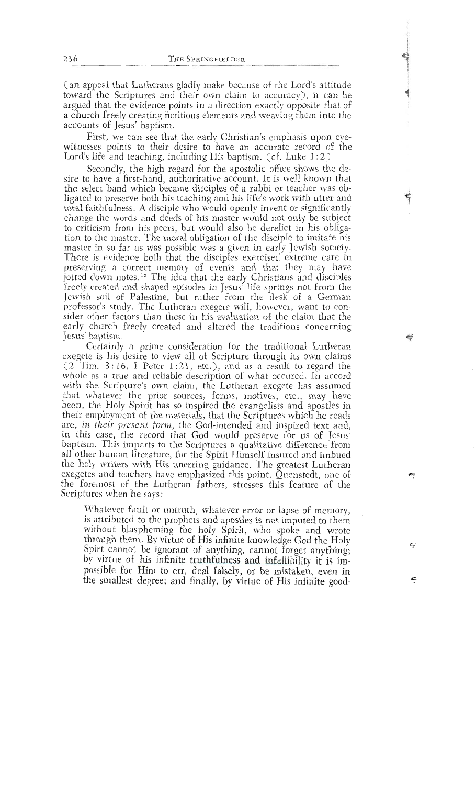(an appeal that Lutherans gladly make because of the Lord's attitude toward the Scriptures and their own claim to accuracy), it can be argued that the evidence points in a direction exactly opposite that of argued that the evidence points in a direction exactly opposite that of a chuich treely creating neuthous elements and weaving them thio the accounts of jesus papusm.<br>Them into them into them into them into them into them into them into them into them into them into them into t

First, we can see that  $\frac{1}{2}$  follits to their desire to have an accurate record of the  $\frac{1}{2}$  and trading, including the baptism. (Cf. Luke 1.2)

Secondly, the high regard for the apostolic office shows the desire to have a first-hand, authoritative account. It is well known that the select band which became disciples of a rabbi or teacher was obligated to preserve both his teaching and his life's work with utter and total faithfulness. A disciple who would openly invent or significantly change the words and deeds of his master would not only be subject thange the words and deeds of his master would not only be subject change the words and would also be defence in this conga-<br>tion to the meeter. The merel obligation of the disciple to imitate his tion to the master. The moral obligation of the disciple to imitate his master in so far as was possible was a given in early Jewish society. There is evidence both that the disciples exercised extreme care in preserving a correct memory of events and that they may have preserving a correct memory or events and that they may nave preserving a correct ment and the correct ment in the correct ment that the preservative ment and that they have freely created and shaped episodes in Jesus' life springs not from the<br>Jewish soil of Palestine, but rather from the desk of a German professor's study. The Lutheran exegete will, however, want to conprocessor's study. The Eutheral exegete whi, however, want to conprofessor in the Lutheran execution of the Canal that the Study. The Lutheran execution of the Lutheran execution. early church freely created and altered the traditions concerning<br>Jesus baptism.

Certainly a prime consideration for the traditional Lutheran Jesus in bis de ce is his desire to view an or scripture through its own claims  $\frac{2 \cdot 16}{\pi}$ . I Potor  $1 \cdot 21$  ato  $\frac{1}{2}$  and so a recult to recend the ( $2$  Tim.  $3:16$ , I Peter 1:21, etc.), and as a result to regard the whole as a true and reliable description of what occured. In accord whole as a true and renable description of what occured. In accord<br>with the Sovinture's own claim, the Lutheren execete hes essumed with the semplifies own elamn, the Lutheral exegete has assumed. that whatever the prior sources, forms, motives, etc., may have been, the Holy Spirit has so inspired the evangelists and apostles in that, the two split has so inspired the evangelists and aposites in been employment of the materials, that the scriptures which he reads<br>are in their arecent form, the Cod intended and inspired text and are, in their present form, the God-intended and inspired text and,<br>in this case, the record that Cod would presente for us of Jesus' are this case, the record that God would preserve for us of Jesus<br>bantism This imports to the Conjutives a qualitative difference from, papusm. This imparts to the scriptures a quantative difference from an other numan inerature, for the Spirit Himself insured and impued<br>the boly writers with His uneming evidence. The exected Lutheren the holy writers with His unerring guidance. The greatest Lutheran exegetes and teachers have emphasized this point. Quenstedt, one of the foremost of the Lutheran fathers, stresses this feature of the Scriptures when he says:

Whatever fault or untruth, whatever error or lapse of memory, is attributed to the prophets and apostles is not imputed to them without blaspheming the holy Spirit, who spoke and wrote through them. By virtue of His infinite knowledge God the Holy Spirt cannot be ignorant of anything, cannot forget anything; by virtue of his infinite truthfulness and infallibility it is impossible for Him to err, deal falsely, or be mistaken, even in the smallest degree; and finally, by virtue of His infinite good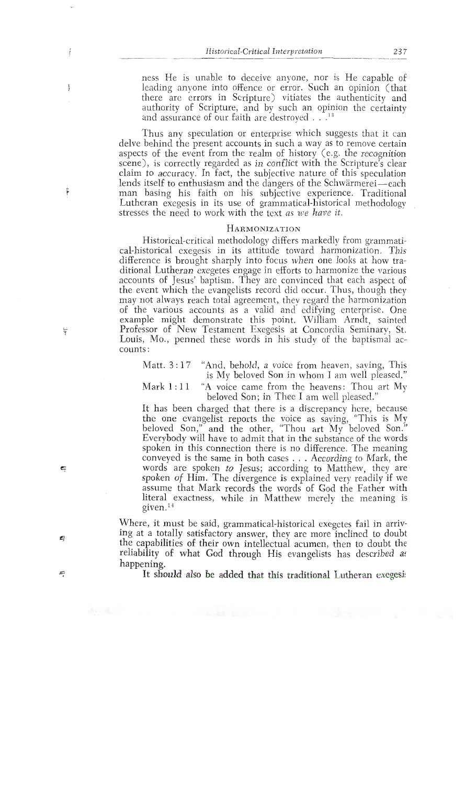ness He is unable to deceive anyone, nor is He capable of lcading anyone into offence or error. Such an opinion (that there arc errors in Scripturc) vitiates the authenticity and authority of Scripture, and by such an opinion the certainty and assurance of our faith are destroyed  $\ldots$ <sup>13</sup>

Thus any speculation or enterprise which suggests that it can delve behind the present accounts in such a way as to remove certain<br>aspects of the event from the realm of history (e.g. the recognition scene), is correctly regarded as in conflict with the Scripture's clear claim to accuracy. In fact, the subjective nature of this speculation lends itself to enthusiasm and the dangers of the Schwärmerei-each man basing his faith on his subjective experience. Traditional Lutheran exegesis in its use of grammatical-historical methodology stresses the need to work with the text as *we have* **it.** 

### HARMONIZATION

Historical-critical methodology differs markedly from grammatical-historical exegesis in its attitude toward harmonization. This difference is brought sharply into focus when one looks at how traditional Lutheran exegetes engage in efforts to harmonize the various accounts of Jesus' baptism. They arc convinced that each aspect of the event which the evangelists record did occur. Thus, though they may not always reach total agreement, they regard the harmonization of the various accounts as a valid and edlfying enterprise. One example might demonstrate this point. IVilliam Arndt, sainted Professor of New Testament Exegesis at Concordia Seminary, St. Louis, Mo., penned these words in his study of the baptismal accounts :

Matt. 3 : 17 "And, behold, a voice from heaven, saying, This is My beloved Son in whom I am well pleased."

Mark  $1:11$  "A voice came from the heavens: Thou art My beloved Son; in Thee **1** am well pleased."

- It has been charged that there is a discrepancy here, because the one evangelist reports the voice as saying, "This is My beloved Son," and the other, "Thou art My beloved Son." Everybody will have to admit that in the substance of the words spoken in this connection there is no difference. The meaning conveyed is the same in both cases . . . According to Mark, the words are spoken to Jesus; according to Matthew, they are spoken of Him. The divergence is explained very readily if we assume that Mark records the words of God the Father with literal exactness, while in Matthew merely the meaning is given. $14$ 

Where, it must be said, grammatical-historical exegetes fail in arriving at a totally satisfactory answer, they are more inclined to doubt the capabilities of their own intellectual acumen, then to doubt the reliability of what God through His evangelists has described as happening.

It should also be added that this traditional Lutheran **exegesi!**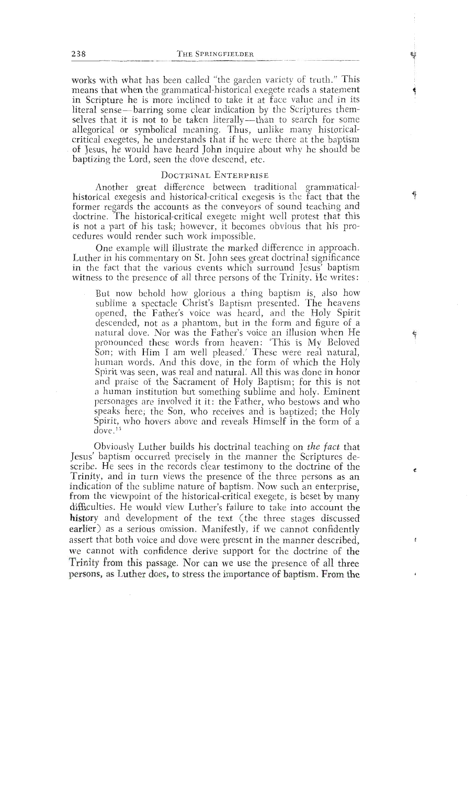works with what has been called "the garden variety of truth." This means that when the grammatical-historical exegete reads a statement<br>in Scripture he is more inclined to take it at face value and in its literal sense—barring some clear indication by the Scriptures themselves that it is not to be taken literally—than to search for some allegorical or symbolical meaning. Thus, unlike many historicalcritical exegetes, he understands that if he were there at the baptism of Jesus, he would have heard John inquire about why he should be critical execution is not the understand that if the vertex that is the strong that is that if the band is the band is the band in the band is the band in the band in the band is the band in the band in the band is the ban of  $\mu$ 

#### DOCTRINAL ENTERPRISE

Another great difference between traditional grammaticalhistorical exegesis and historical-critical exegesis is the fact that the former regards the accounts as the conveyors of sound teaching and doctrine. The historical-critical exegete might well protest that this is not a part of his task; however, it becomes obvious that his procedures would render such work impossible.

One example will illustrate the marked difference in approach. Luther in his commentary on St. John sees great doctrinal significance in the fact that the various events which surround Jesus' baptism Luther in the commentary of states which contributes great doppending the street of all three persons of the Trinity. He writes: method to the problem of the military of the surround as method.

But now behold how glorious a thing baptism is, also how<br>sublime a spectacle Christ's Baptism presented. The heavens opened, the Father's voice was heard, and the Holy Spirit descended, not as a phantom, but in the form and figure of a natural dove. Nor was the Father's voice an illusion when He pronounced these words from heaven: 'This is My Beloved Son; with Him I am well pleased.' These were real natural, human words. And this dove, in the form of which the Holy Spirit was seen, was real and natural. All this was done in honor and praise of the Sacrament of Holy Baptism; for this is not a human institution but something sublime and holy. Eminent personages are involved it it: the Father, who bestows and who speaks here; the Son, who receives and is baptized; the Holy peans nere, the bon, who receives and is supersed, the rivity speaks  $\frac{15}{100}$  holocas above and is coems and seen in the form of a  $S_{\rm eff}$  is above and reveals . Himself in the formula . Himself in the formula . Himself in the formula . Himself in the formula . Himself in the formula . Himself in the formula . Himself in the formula . Himself in the

Obviously Luther builds his doctrinal teaching on the fact that<br>Jesus' baptism occurred precisely in the manner the Scriptures describe. He sees in the records clear testimony to the doctrine of the Trinity, and in turn views the presence of the three persons as an indication of the sublime nature of baptism. Now such an enterprise, from the viewpoint of the historical-critical exegete, is beset by many difficulties. He would view Luther's failure to take into account the history and development of the text (the three stages discussed earlier) as a serious omission. Manifestly, if we cannot confidently assert that both voice and dove were present in the manner described, we cannot with confidence derive support for the doctrine of the Trinity from this passage. Nor can we use the presence of all three Finity from this passage. Nor can we use the presence of all three persons, as naturely to est use the importance of baptism. From the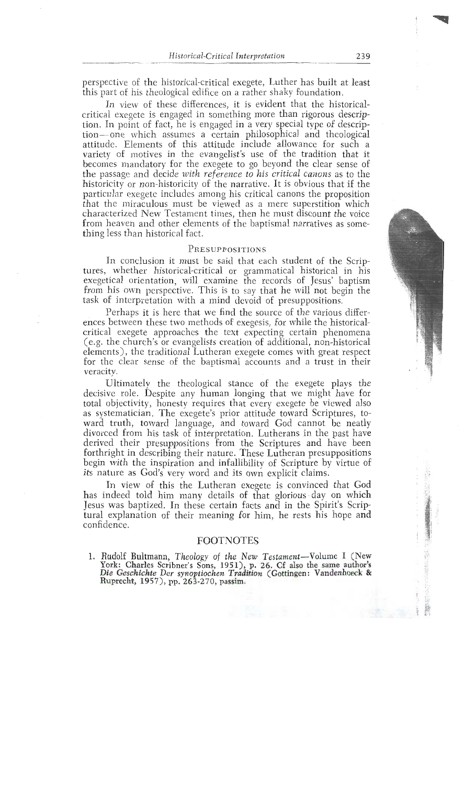perspective of the historical-critical exegete, Luther has built at least this part of his theological edifice on a rather shaky foundation.

In view of these differences, it is evident that the historicalcritical exegete is engaged in something more than rigorous description. In point of fact, he is engaged in a very special type of description-one which assumes a certain philosophical and theological attitude. Elements of this attitude include allowance for such a variety of motives in the evangelist's use of the tradition that it becomes mandatory for the exegete to go beyond the clear sense of the passage and decide with reference to his critical canons as to the historicity or non-historicity of the narrative. It is obvious that if the particular exegete includes among his critical canons the proposition that the miraculous must be viewed as a mere superstition which characterized New Testament times, then he must discount the voice characterized New Testanlent times, then he must discount the voice from heaven and other elements of the baptismal narratives as something less than historical fact.

PRESUPPOSITIONS<br>In conclusion it must be said that each student of the Scriptures, whether historical-critical or grammatical historical in his exegetical orientation, will examine the records of Jesus' baptism from his own perspective. This is to say that he will not begin the task of interpretation with a mind devoid of presuppositions.

Perhaps it is here that we find the source of the various differences between these two methods of exegesis, for while the historicalcritical exegete approaches the text expecting certain phenomena  $(e.g. the church's or evangelists creation of additional, non-historical$ elements), the traditional Lutheran exegete comes with great respect elements), the traditional Lutheran exegete comes with great respect for thc clear sense of the baptismal accounts and a trust in their

veracity.<br>Ultimately the theological stance of the exegete plays the decisive role. Despite any human longing that we might have for total objectivity, honesty requires that every exegete be viewed also as systematician. The exegete's prior attitude toward Scriptures, toward truth, toward language, and toward God cannot be neatly divorced from his task of interpretation. Lutherans in the past have derived their presuppositions from the Scriptures and have been forthright in describing their nature. These Lutheran presuppositions begin with the inspiration and infallibility of Scripture by virtue of begin with the inspiration and infallibility of Scripture by virtue of its nature as God's very word and its own explicit claims.

In view of this the Lutheran exegete is convinced that God has indeed told him many details of that glorious day on which Jesus was baptized. In these certain facts and in the Spirit's Scrip-Jesus was baptized. In these certain facts and in the Spirit's Scriptural explanation of their meaning for him, he rests his hope and confidence.

FOOTNOTES<br>1. Rudolf Bultmann, Theology of the New Testament-Volume I (New 1. Rudolf Bultmann, Theology of the New Testament-Volume I **(New**  Tork: Charles Scribner's Sons, 1951), p. 26. Cr also the same author's<br>Die: Geschichte Der synoptiochen Tradition (Cottingen: Vandenhoeck & *Dic Geschichte Dcr synoptiochs~z Tradztron* (Gottingen: Vandenhoeck **8r**  Ruprecht, **1957), pp.** 263-270, **passim,**